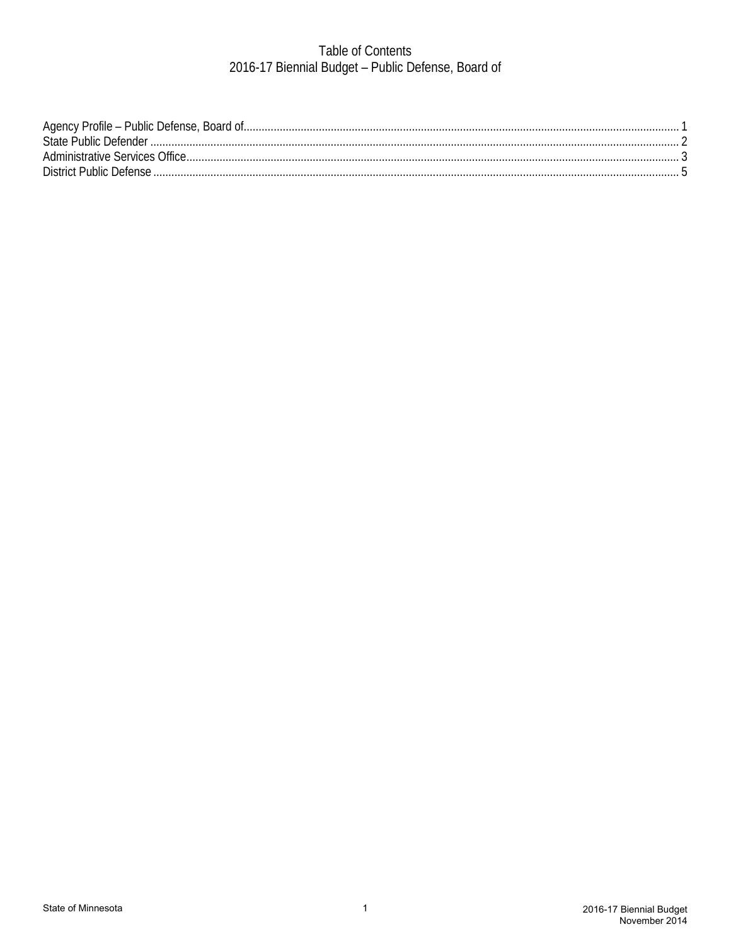# Table of Contents 2016-17 Biennial Budget - Public Defense, Board of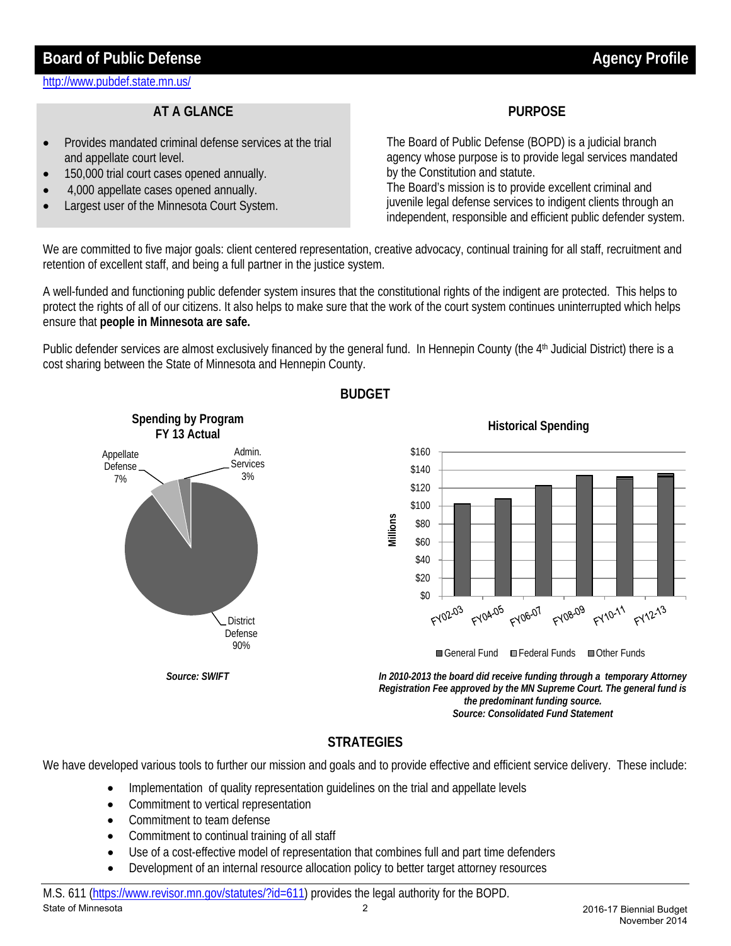# **Board of Public Defense Agency Profile Agency Profile**

<http://www.pubdef.state.mn.us/>

#### **AT A GLANCE**

- Provides mandated criminal defense services at the trial and appellate court level.
- 150,000 trial court cases opened annually.
- 4,000 appellate cases opened annually.
- Largest user of the Minnesota Court System.

## **PURPOSE**

The Board of Public Defense (BOPD) is a judicial branch agency whose purpose is to provide legal services mandated by the Constitution and statute. The Board's mission is to provide excellent criminal and

juvenile legal defense services to indigent clients through an independent, responsible and efficient public defender system.

We are committed to five major goals: client centered representation, creative advocacy, continual training for all staff, recruitment and retention of excellent staff, and being a full partner in the justice system.

A well-funded and functioning public defender system insures that the constitutional rights of the indigent are protected. This helps to protect the rights of all of our citizens. It also helps to make sure that the work of the court system continues uninterrupted which helps ensure that **people in Minnesota are safe.**

Public defender services are almost exclusively financed by the general fund. In Hennepin County (the 4<sup>th</sup> Judicial District) there is a cost sharing between the State of Minnesota and Hennepin County.



**BUDGET**

**Millions**

\$160 \$140 \$120 \$100 \$80 \$60 \$40 \$20  $50 + 10203$ FY08-09  $F^{1/10-11}$ FY04-05 FY06-07  $F^{1/2.13}$ **■ General Fund ■ Federal Funds ■ Other Funds** 

**Historical Spending**

*Source: SWIFT In 2010-2013 the board did receive funding through a temporary Attorney Registration Fee approved by the MN Supreme Court. The general fund is* 

*the predominant funding source. Source: Consolidated Fund Statement*

## **STRATEGIES**

We have developed various tools to further our mission and goals and to provide effective and efficient service delivery. These include:

- Implementation of quality representation guidelines on the trial and appellate levels
- Commitment to vertical representation
- Commitment to team defense
- Commitment to continual training of all staff
- Use of a cost-effective model of representation that combines full and part time defenders
- Development of an internal resource allocation policy to better target attorney resources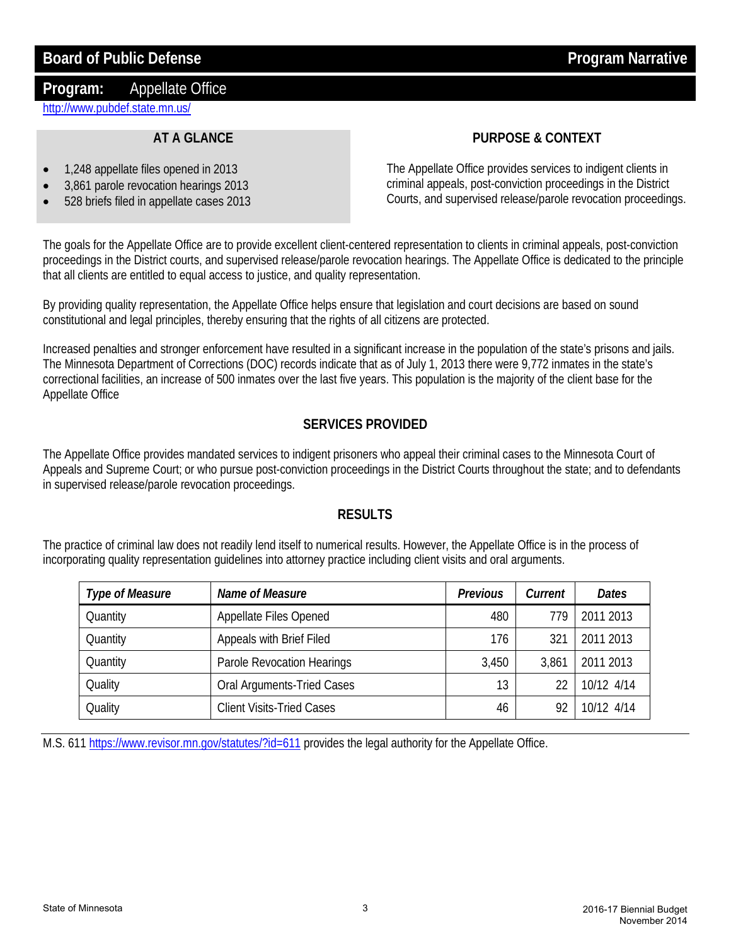# **Board of Public Defense Program Narrative Program Narrative**

### **Program:** Appellate Office

[http://www.pubdef.state.mn.us/](http://www.home.pubdef.state.mn.us/)

### **AT A GLANCE**

- 1,248 appellate files opened in 2013
- 3,861 parole revocation hearings 2013
- 528 briefs filed in appellate cases 2013

### **PURPOSE & CONTEXT**

The Appellate Office provides services to indigent clients in criminal appeals, post-conviction proceedings in the District Courts, and supervised release/parole revocation proceedings.

The goals for the Appellate Office are to provide excellent client-centered representation to clients in criminal appeals, post-conviction proceedings in the District courts, and supervised release/parole revocation hearings. The Appellate Office is dedicated to the principle that all clients are entitled to equal access to justice, and quality representation.

By providing quality representation, the Appellate Office helps ensure that legislation and court decisions are based on sound constitutional and legal principles, thereby ensuring that the rights of all citizens are protected.

Increased penalties and stronger enforcement have resulted in a significant increase in the population of the state's prisons and jails. The Minnesota Department of Corrections (DOC) records indicate that as of July 1, 2013 there were 9,772 inmates in the state's correctional facilities, an increase of 500 inmates over the last five years. This population is the majority of the client base for the Appellate Office

### **SERVICES PROVIDED**

The Appellate Office provides mandated services to indigent prisoners who appeal their criminal cases to the Minnesota Court of Appeals and Supreme Court; or who pursue post-conviction proceedings in the District Courts throughout the state; and to defendants in supervised release/parole revocation proceedings.

### **RESULTS**

The practice of criminal law does not readily lend itself to numerical results. However, the Appellate Office is in the process of incorporating quality representation guidelines into attorney practice including client visits and oral arguments.

| <b>Type of Measure</b> | Name of Measure                  | <b>Previous</b> | Current | Dates      |
|------------------------|----------------------------------|-----------------|---------|------------|
| Quantity               | Appellate Files Opened           | 480             | 779     | 2011 2013  |
| Quantity               | Appeals with Brief Filed         | 176             | 321     | 2011 2013  |
| Quantity               | Parole Revocation Hearings       | 3,450           | 3,861   | 2011 2013  |
| Quality                | Oral Arguments-Tried Cases       | 13              | 22      | 10/12 4/14 |
| Quality                | <b>Client Visits-Tried Cases</b> | 46              | 92      | 10/12 4/14 |

M.S. 61[1 https://www.revisor.mn.gov/statutes/?id=611](https://www.revisor.mn.gov/statutes/?id=611) provides the legal authority for the Appellate Office.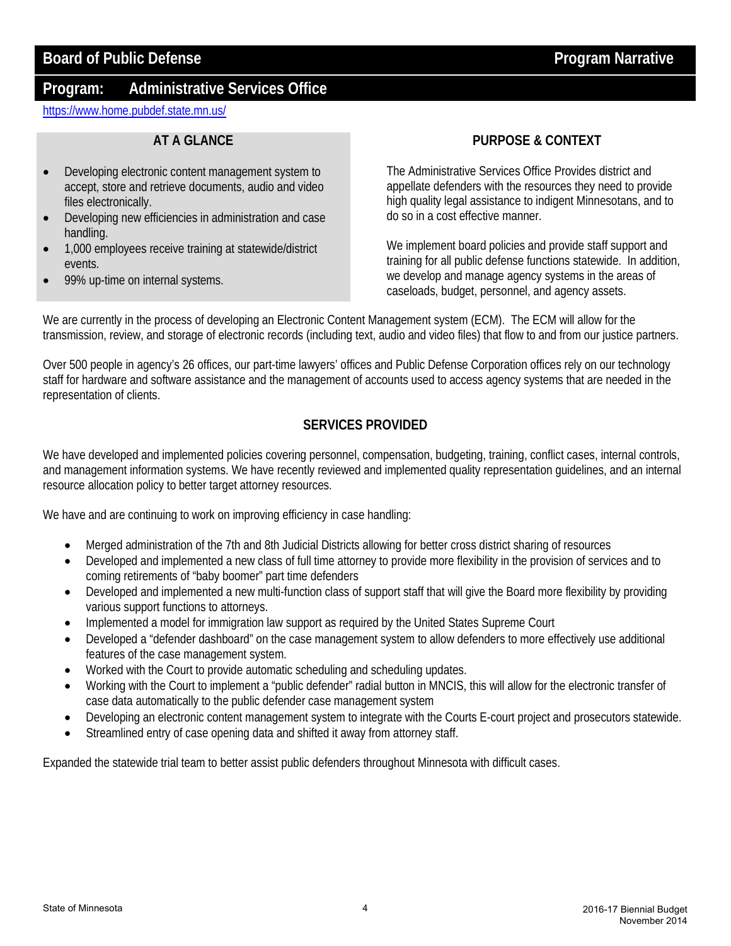# **Board of Public Defense Program Narrative**

# **Program: Administrative Services Office**

<https://www.home.pubdef.state.mn.us/>

### **AT A GLANCE**

- Developing electronic content management system to accept, store and retrieve documents, audio and video files electronically.
- Developing new efficiencies in administration and case handling.
- 1,000 employees receive training at statewide/district events.
- 99% up-time on internal systems.

### **PURPOSE & CONTEXT**

The Administrative Services Office Provides district and appellate defenders with the resources they need to provide high quality legal assistance to indigent Minnesotans, and to do so in a cost effective manner.

We implement board policies and provide staff support and training for all public defense functions statewide. In addition, we develop and manage agency systems in the areas of caseloads, budget, personnel, and agency assets.

We are currently in the process of developing an Electronic Content Management system (ECM). The ECM will allow for the transmission, review, and storage of electronic records (including text, audio and video files) that flow to and from our justice partners.

Over 500 people in agency's 26 offices, our part-time lawyers' offices and Public Defense Corporation offices rely on our technology staff for hardware and software assistance and the management of accounts used to access agency systems that are needed in the representation of clients.

### **SERVICES PROVIDED**

We have developed and implemented policies covering personnel, compensation, budgeting, training, conflict cases, internal controls, and management information systems. We have recently reviewed and implemented quality representation guidelines, and an internal resource allocation policy to better target attorney resources.

We have and are continuing to work on improving efficiency in case handling:

- Merged administration of the 7th and 8th Judicial Districts allowing for better cross district sharing of resources
- Developed and implemented a new class of full time attorney to provide more flexibility in the provision of services and to coming retirements of "baby boomer" part time defenders
- Developed and implemented a new multi-function class of support staff that will give the Board more flexibility by providing various support functions to attorneys.
- Implemented a model for immigration law support as required by the United States Supreme Court
- Developed a "defender dashboard" on the case management system to allow defenders to more effectively use additional features of the case management system.
- Worked with the Court to provide automatic scheduling and scheduling updates.
- Working with the Court to implement a "public defender" radial button in MNCIS, this will allow for the electronic transfer of case data automatically to the public defender case management system
- Developing an electronic content management system to integrate with the Courts E-court project and prosecutors statewide.
- Streamlined entry of case opening data and shifted it away from attorney staff.

Expanded the statewide trial team to better assist public defenders throughout Minnesota with difficult cases.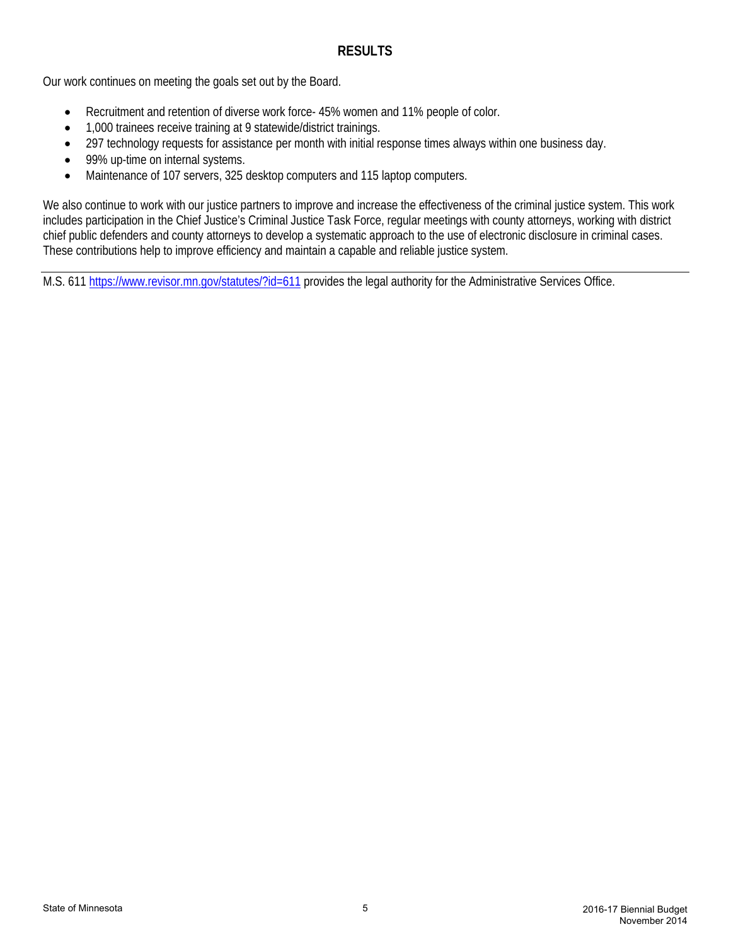## **RESULTS**

Our work continues on meeting the goals set out by the Board.

- Recruitment and retention of diverse work force- 45% women and 11% people of color.
- 1,000 trainees receive training at 9 statewide/district trainings.
- 297 technology requests for assistance per month with initial response times always within one business day.
- 99% up-time on internal systems.
- Maintenance of 107 servers, 325 desktop computers and 115 laptop computers.

We also continue to work with our justice partners to improve and increase the effectiveness of the criminal justice system. This work includes participation in the Chief Justice's Criminal Justice Task Force, regular meetings with county attorneys, working with district chief public defenders and county attorneys to develop a systematic approach to the use of electronic disclosure in criminal cases. These contributions help to improve efficiency and maintain a capable and reliable justice system.

M.S. 611 <https://www.revisor.mn.gov/statutes/?id=611> provides the legal authority for the Administrative Services Office.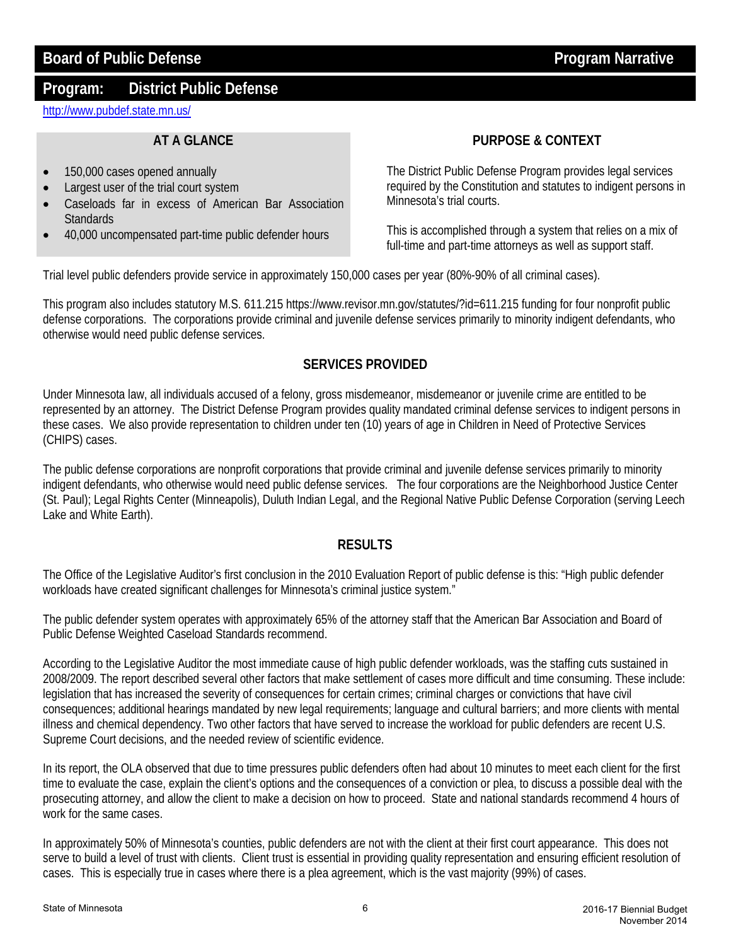# **Board of Public Defense Program Narrative Program Narrative**

# **Program: District Public Defense**

[http://www.pubdef.state.mn.us/](http://www.pubdef.state.mn.us/misc/favicon.ico)

#### **AT A GLANCE**

- 150,000 cases opened annually
- Largest user of the trial court system
- Caseloads far in excess of American Bar Association **Standards**
- 40,000 uncompensated part-time public defender hours

### **PURPOSE & CONTEXT**

The District Public Defense Program provides legal services required by the Constitution and statutes to indigent persons in Minnesota's trial courts.

This is accomplished through a system that relies on a mix of full-time and part-time attorneys as well as support staff.

Trial level public defenders provide service in approximately 150,000 cases per year (80%-90% of all criminal cases).

This program also includes statutory M.S. 611.215 https://www.revisor.mn.gov/statutes/?id=611.215 funding for four nonprofit public defense corporations. The corporations provide criminal and juvenile defense services primarily to minority indigent defendants, who otherwise would need public defense services.

#### **SERVICES PROVIDED**

Under Minnesota law, all individuals accused of a felony, gross misdemeanor, misdemeanor or juvenile crime are entitled to be represented by an attorney. The District Defense Program provides quality mandated criminal defense services to indigent persons in these cases. We also provide representation to children under ten (10) years of age in Children in Need of Protective Services (CHIPS) cases.

The public defense corporations are nonprofit corporations that provide criminal and juvenile defense services primarily to minority indigent defendants, who otherwise would need public defense services. The four corporations are the Neighborhood Justice Center (St. Paul); Legal Rights Center (Minneapolis), Duluth Indian Legal, and the Regional Native Public Defense Corporation (serving Leech Lake and White Earth).

### **RESULTS**

The Office of the Legislative Auditor's first conclusion in the 2010 Evaluation Report of public defense is this: "High public defender workloads have created significant challenges for Minnesota's criminal justice system."

The public defender system operates with approximately 65% of the attorney staff that the American Bar Association and Board of Public Defense Weighted Caseload Standards recommend.

According to the Legislative Auditor the most immediate cause of high public defender workloads, was the staffing cuts sustained in 2008/2009. The report described several other factors that make settlement of cases more difficult and time consuming. These include: legislation that has increased the severity of consequences for certain crimes; criminal charges or convictions that have civil consequences; additional hearings mandated by new legal requirements; language and cultural barriers; and more clients with mental illness and chemical dependency. Two other factors that have served to increase the workload for public defenders are recent U.S. Supreme Court decisions, and the needed review of scientific evidence.

In its report, the OLA observed that due to time pressures public defenders often had about 10 minutes to meet each client for the first time to evaluate the case, explain the client's options and the consequences of a conviction or plea, to discuss a possible deal with the prosecuting attorney, and allow the client to make a decision on how to proceed. State and national standards recommend 4 hours of work for the same cases.

In approximately 50% of Minnesota's counties, public defenders are not with the client at their first court appearance. This does not serve to build a level of trust with clients. Client trust is essential in providing quality representation and ensuring efficient resolution of cases. This is especially true in cases where there is a plea agreement, which is the vast majority (99%) of cases.